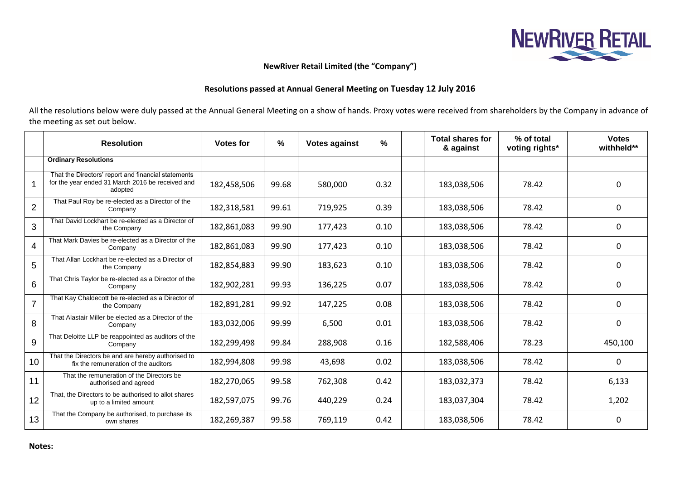

## **NewRiver Retail Limited (the "Company")**

## **Resolutions passed at Annual General Meeting on Tuesday 12 July 2016**

All the resolutions below were duly passed at the Annual General Meeting on a show of hands. Proxy votes were received from shareholders by the Company in advance of the meeting as set out below.

|                | <b>Resolution</b>                                                                                                  | <b>Votes for</b> | $\%$  | <b>Votes against</b> | %    | <b>Total shares for</b><br>& against | % of total<br>voting rights* | <b>Votes</b><br>withheld** |
|----------------|--------------------------------------------------------------------------------------------------------------------|------------------|-------|----------------------|------|--------------------------------------|------------------------------|----------------------------|
|                | <b>Ordinary Resolutions</b>                                                                                        |                  |       |                      |      |                                      |                              |                            |
|                | That the Directors' report and financial statements<br>for the year ended 31 March 2016 be received and<br>adopted | 182,458,506      | 99.68 | 580,000              | 0.32 | 183,038,506                          | 78.42                        | 0                          |
| $\overline{2}$ | That Paul Roy be re-elected as a Director of the<br>Company                                                        | 182,318,581      | 99.61 | 719,925              | 0.39 | 183,038,506                          | 78.42                        | 0                          |
| 3              | That David Lockhart be re-elected as a Director of<br>the Company                                                  | 182,861,083      | 99.90 | 177,423              | 0.10 | 183,038,506                          | 78.42                        | 0                          |
| $\overline{4}$ | That Mark Davies be re-elected as a Director of the<br>Company                                                     | 182,861,083      | 99.90 | 177,423              | 0.10 | 183,038,506                          | 78.42                        | 0                          |
| 5              | That Allan Lockhart be re-elected as a Director of<br>the Company                                                  | 182,854,883      | 99.90 | 183,623              | 0.10 | 183,038,506                          | 78.42                        | 0                          |
| $6\phantom{1}$ | That Chris Taylor be re-elected as a Director of the<br>Company                                                    | 182,902,281      | 99.93 | 136,225              | 0.07 | 183,038,506                          | 78.42                        | 0                          |
| $\overline{7}$ | That Kay Chaldecott be re-elected as a Director of<br>the Company                                                  | 182,891,281      | 99.92 | 147,225              | 0.08 | 183,038,506                          | 78.42                        | 0                          |
| 8              | That Alastair Miller be elected as a Director of the<br>Company                                                    | 183,032,006      | 99.99 | 6,500                | 0.01 | 183,038,506                          | 78.42                        | 0                          |
| 9              | That Deloitte LLP be reappointed as auditors of the<br>Company                                                     | 182,299,498      | 99.84 | 288,908              | 0.16 | 182,588,406                          | 78.23                        | 450,100                    |
| 10             | That the Directors be and are hereby authorised to<br>fix the remuneration of the auditors                         | 182,994,808      | 99.98 | 43,698               | 0.02 | 183,038,506                          | 78.42                        | 0                          |
| 11             | That the remuneration of the Directors be<br>authorised and agreed                                                 | 182,270,065      | 99.58 | 762,308              | 0.42 | 183,032,373                          | 78.42                        | 6,133                      |
| 12             | That, the Directors to be authorised to allot shares<br>up to a limited amount                                     | 182,597,075      | 99.76 | 440,229              | 0.24 | 183,037,304                          | 78.42                        | 1,202                      |
| 13             | That the Company be authorised, to purchase its<br>own shares                                                      | 182,269,387      | 99.58 | 769,119              | 0.42 | 183,038,506                          | 78.42                        | 0                          |